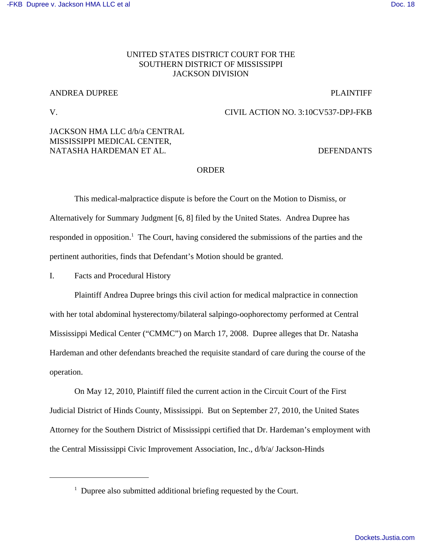#### [-FKB Dupree v. Jackson HMA LLC et al](http://dockets.justia.com/docket/mississippi/mssdce/3:2010cv00537/73406/) **[Doc. 18](http://docs.justia.com/cases/federal/district-courts/mississippi/mssdce/3:2010cv00537/73406/18/)** and Doc. 18

## UNITED STATES DISTRICT COURT FOR THE SOUTHERN DISTRICT OF MISSISSIPPI JACKSON DIVISION

# ANDREA DUPREE PLAINTIFF

## V. CIVIL ACTION NO. 3:10CV537-DPJ-FKB

# JACKSON HMA LLC d/b/a CENTRAL MISSISSIPPI MEDICAL CENTER, NATASHA HARDEMAN ET AL. DEFENDANTS

## ORDER

This medical-malpractice dispute is before the Court on the Motion to Dismiss, or Alternatively for Summary Judgment [6, 8] filed by the United States. Andrea Dupree has responded in opposition.<sup>1</sup> The Court, having considered the submissions of the parties and the pertinent authorities, finds that Defendant's Motion should be granted.

I. Facts and Procedural History

Plaintiff Andrea Dupree brings this civil action for medical malpractice in connection with her total abdominal hysterectomy/bilateral salpingo-oophorectomy performed at Central Mississippi Medical Center ("CMMC") on March 17, 2008. Dupree alleges that Dr. Natasha Hardeman and other defendants breached the requisite standard of care during the course of the operation.

On May 12, 2010, Plaintiff filed the current action in the Circuit Court of the First Judicial District of Hinds County, Mississippi. But on September 27, 2010, the United States Attorney for the Southern District of Mississippi certified that Dr. Hardeman's employment with the Central Mississippi Civic Improvement Association, Inc., d/b/a/ Jackson-Hinds

<sup>&</sup>lt;sup>1</sup> Dupree also submitted additional briefing requested by the Court.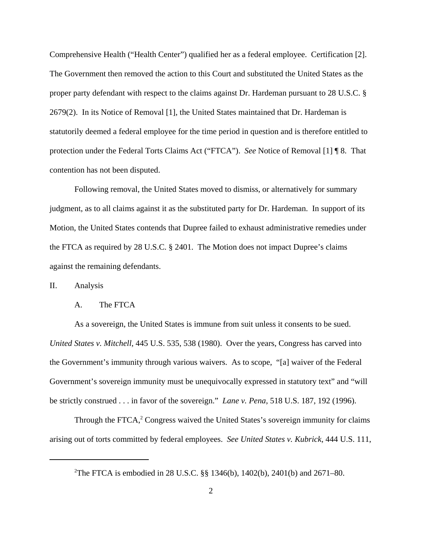Comprehensive Health ("Health Center") qualified her as a federal employee. Certification [2]. The Government then removed the action to this Court and substituted the United States as the proper party defendant with respect to the claims against Dr. Hardeman pursuant to 28 U.S.C. § 2679(2). In its Notice of Removal [1], the United States maintained that Dr. Hardeman is statutorily deemed a federal employee for the time period in question and is therefore entitled to protection under the Federal Torts Claims Act ("FTCA"). *See* Notice of Removal [1] ¶ 8. That contention has not been disputed.

Following removal, the United States moved to dismiss, or alternatively for summary judgment, as to all claims against it as the substituted party for Dr. Hardeman. In support of its Motion, the United States contends that Dupree failed to exhaust administrative remedies under the FTCA as required by 28 U.S.C. § 2401. The Motion does not impact Dupree's claims against the remaining defendants.

II. Analysis

### A. The FTCA

As a sovereign, the United States is immune from suit unless it consents to be sued. *United States v. Mitchell*, 445 U.S. 535, 538 (1980). Over the years, Congress has carved into the Government's immunity through various waivers. As to scope, "[a] waiver of the Federal Government's sovereign immunity must be unequivocally expressed in statutory text" and "will be strictly construed . . . in favor of the sovereign." *Lane v. Pena*, 518 U.S. 187, 192 (1996).

Through the FTCA, $2$  Congress waived the United States's sovereign immunity for claims arising out of torts committed by federal employees. *See United States v. Kubrick*, 444 U.S. 111,

<sup>&</sup>lt;sup>2</sup>The FTCA is embodied in 28 U.S.C. §§ 1346(b), 1402(b), 2401(b) and 2671–80.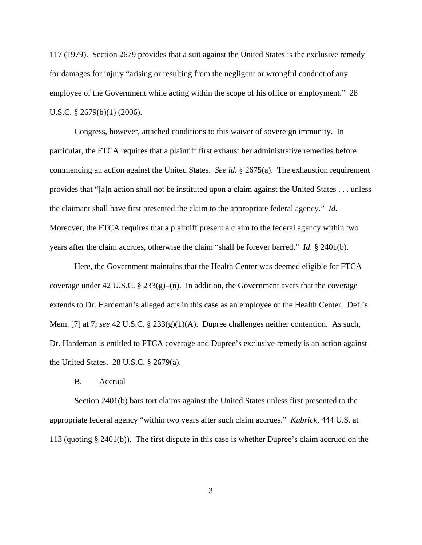117 (1979). Section 2679 provides that a suit against the United States is the exclusive remedy for damages for injury "arising or resulting from the negligent or wrongful conduct of any employee of the Government while acting within the scope of his office or employment." 28 U.S.C. § 2679(b)(1) (2006).

Congress, however, attached conditions to this waiver of sovereign immunity. In particular, the FTCA requires that a plaintiff first exhaust her administrative remedies before commencing an action against the United States. *See id.* § 2675(a). The exhaustion requirement provides that "[a]n action shall not be instituted upon a claim against the United States . . . unless the claimant shall have first presented the claim to the appropriate federal agency." *Id.* Moreover, the FTCA requires that a plaintiff present a claim to the federal agency within two years after the claim accrues, otherwise the claim "shall be forever barred." *Id.* § 2401(b).

Here, the Government maintains that the Health Center was deemed eligible for FTCA coverage under 42 U.S.C. §  $233(g)$ –(n). In addition, the Government avers that the coverage extends to Dr. Hardeman's alleged acts in this case as an employee of the Health Center. Def.'s Mem. [7] at 7; *see* 42 U.S.C. § 233(g)(1)(A). Dupree challenges neither contention. As such, Dr. Hardeman is entitled to FTCA coverage and Dupree's exclusive remedy is an action against the United States. 28 U.S.C. § 2679(a).

B. Accrual

Section 2401(b) bars tort claims against the United States unless first presented to the appropriate federal agency "within two years after such claim accrues." *Kubrick*, 444 U.S. at 113 (quoting § 2401(b)). The first dispute in this case is whether Dupree's claim accrued on the

3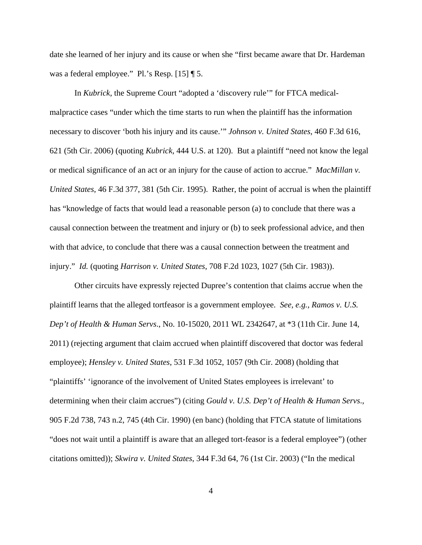date she learned of her injury and its cause or when she "first became aware that Dr. Hardeman was a federal employee." Pl.'s Resp. [15] ¶ 5.

In *Kubrick*, the Supreme Court "adopted a 'discovery rule'" for FTCA medicalmalpractice cases "under which the time starts to run when the plaintiff has the information necessary to discover 'both his injury and its cause.'" *Johnson v. United States*, 460 F.3d 616, 621 (5th Cir. 2006) (quoting *Kubrick*, 444 U.S. at 120). But a plaintiff "need not know the legal or medical significance of an act or an injury for the cause of action to accrue." *MacMillan v. United States*, 46 F.3d 377, 381 (5th Cir. 1995). Rather, the point of accrual is when the plaintiff has "knowledge of facts that would lead a reasonable person (a) to conclude that there was a causal connection between the treatment and injury or (b) to seek professional advice, and then with that advice, to conclude that there was a causal connection between the treatment and injury." *Id.* (quoting *Harrison v. United States*, 708 F.2d 1023, 1027 (5th Cir. 1983)).

Other circuits have expressly rejected Dupree's contention that claims accrue when the plaintiff learns that the alleged tortfeasor is a government employee. *See, e.g.*, *Ramos v. U.S. Dep't of Health & Human Servs*., No. 10-15020, 2011 WL 2342647, at \*3 (11th Cir. June 14, 2011) (rejecting argument that claim accrued when plaintiff discovered that doctor was federal employee); *Hensley v. United States*, 531 F.3d 1052, 1057 (9th Cir. 2008) (holding that "plaintiffs' 'ignorance of the involvement of United States employees is irrelevant' to determining when their claim accrues") (citing *Gould v. U.S. Dep't of Health & Human Servs*., 905 F.2d 738, 743 n.2, 745 (4th Cir. 1990) (en banc) (holding that FTCA statute of limitations "does not wait until a plaintiff is aware that an alleged tort-feasor is a federal employee") (other citations omitted)); *Skwira v. United States*, 344 F.3d 64, 76 (1st Cir. 2003) ("In the medical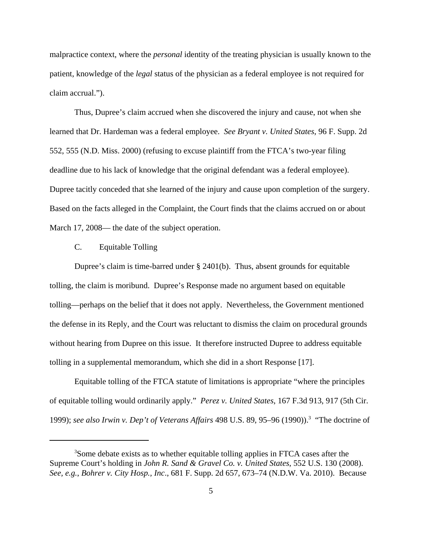malpractice context, where the *personal* identity of the treating physician is usually known to the patient, knowledge of the *legal* status of the physician as a federal employee is not required for claim accrual.").

Thus, Dupree's claim accrued when she discovered the injury and cause, not when she learned that Dr. Hardeman was a federal employee. *See Bryant v. United States*, 96 F. Supp. 2d 552, 555 (N.D. Miss. 2000) (refusing to excuse plaintiff from the FTCA's two-year filing deadline due to his lack of knowledge that the original defendant was a federal employee). Dupree tacitly conceded that she learned of the injury and cause upon completion of the surgery. Based on the facts alleged in the Complaint, the Court finds that the claims accrued on or about March 17, 2008— the date of the subject operation.

### C. Equitable Tolling

Dupree's claim is time-barred under § 2401(b). Thus, absent grounds for equitable tolling, the claim is moribund. Dupree's Response made no argument based on equitable tolling—perhaps on the belief that it does not apply. Nevertheless, the Government mentioned the defense in its Reply, and the Court was reluctant to dismiss the claim on procedural grounds without hearing from Dupree on this issue. It therefore instructed Dupree to address equitable tolling in a supplemental memorandum, which she did in a short Response [17].

Equitable tolling of the FTCA statute of limitations is appropriate "where the principles of equitable tolling would ordinarily apply." *Perez v. United States*, 167 F.3d 913, 917 (5th Cir. 1999); *see also Irwin v. Dep't of Veterans Affairs* 498 U.S. 89, 95–96 (1990)).3 "The doctrine of

<sup>&</sup>lt;sup>3</sup>Some debate exists as to whether equitable tolling applies in FTCA cases after the Supreme Court's holding in *John R. Sand & Gravel Co. v. United States*, 552 U.S. 130 (2008). *See, e.g.*, *Bohrer v. City Hosp., Inc*., 681 F. Supp. 2d 657, 673–74 (N.D.W. Va. 2010). Because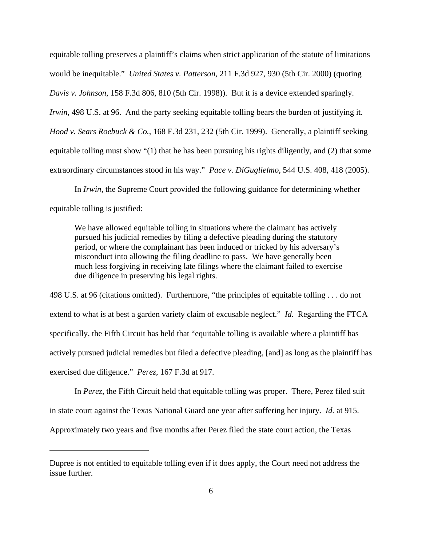equitable tolling preserves a plaintiff's claims when strict application of the statute of limitations would be inequitable." *United States v. Patterson*, 211 F.3d 927, 930 (5th Cir. 2000) (quoting *Davis v. Johnson*, 158 F.3d 806, 810 (5th Cir. 1998)). But it is a device extended sparingly. *Irwin*, 498 U.S. at 96. And the party seeking equitable tolling bears the burden of justifying it. *Hood v. Sears Roebuck & Co.*, 168 F.3d 231, 232 (5th Cir. 1999). Generally, a plaintiff seeking equitable tolling must show "(1) that he has been pursuing his rights diligently, and (2) that some extraordinary circumstances stood in his way." *Pace v. DiGuglielmo*, 544 U.S. 408, 418 (2005).

In *Irwin*, the Supreme Court provided the following guidance for determining whether equitable tolling is justified:

We have allowed equitable tolling in situations where the claimant has actively pursued his judicial remedies by filing a defective pleading during the statutory period, or where the complainant has been induced or tricked by his adversary's misconduct into allowing the filing deadline to pass. We have generally been much less forgiving in receiving late filings where the claimant failed to exercise due diligence in preserving his legal rights.

498 U.S. at 96 (citations omitted). Furthermore, "the principles of equitable tolling . . . do not extend to what is at best a garden variety claim of excusable neglect." *Id.* Regarding the FTCA specifically, the Fifth Circuit has held that "equitable tolling is available where a plaintiff has actively pursued judicial remedies but filed a defective pleading, [and] as long as the plaintiff has exercised due diligence." *Perez*, 167 F.3d at 917.

In *Perez*, the Fifth Circuit held that equitable tolling was proper. There, Perez filed suit in state court against the Texas National Guard one year after suffering her injury. *Id.* at 915. Approximately two years and five months after Perez filed the state court action, the Texas

Dupree is not entitled to equitable tolling even if it does apply, the Court need not address the issue further.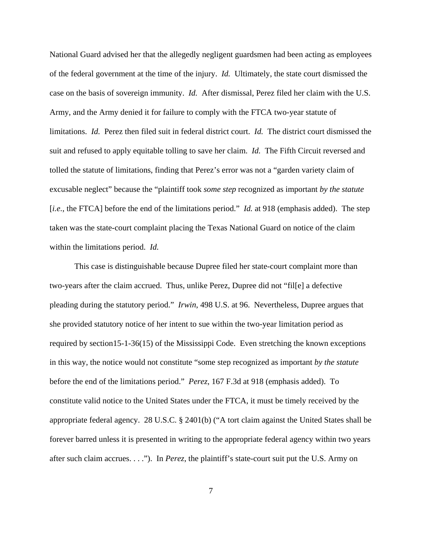National Guard advised her that the allegedly negligent guardsmen had been acting as employees of the federal government at the time of the injury. *Id.* Ultimately, the state court dismissed the case on the basis of sovereign immunity. *Id.* After dismissal, Perez filed her claim with the U.S. Army, and the Army denied it for failure to comply with the FTCA two-year statute of limitations. *Id.* Perez then filed suit in federal district court. *Id.* The district court dismissed the suit and refused to apply equitable tolling to save her claim. *Id.* The Fifth Circuit reversed and tolled the statute of limitations, finding that Perez's error was not a "garden variety claim of excusable neglect" because the "plaintiff took *some step* recognized as important *by the statute* [*i.e.*, the FTCA] before the end of the limitations period." *Id.* at 918 (emphasis added). The step taken was the state-court complaint placing the Texas National Guard on notice of the claim within the limitations period. *Id.*

This case is distinguishable because Dupree filed her state-court complaint more than two-years after the claim accrued. Thus, unlike Perez, Dupree did not "fil[e] a defective pleading during the statutory period." *Irwin*, 498 U.S. at 96. Nevertheless, Dupree argues that she provided statutory notice of her intent to sue within the two-year limitation period as required by section15-1-36(15) of the Mississippi Code. Even stretching the known exceptions in this way, the notice would not constitute "some step recognized as important *by the statute* before the end of the limitations period." *Perez*, 167 F.3d at 918 (emphasis added). To constitute valid notice to the United States under the FTCA, it must be timely received by the appropriate federal agency. 28 U.S.C. § 2401(b) ("A tort claim against the United States shall be forever barred unless it is presented in writing to the appropriate federal agency within two years after such claim accrues. . . ."). In *Perez*, the plaintiff's state-court suit put the U.S. Army on

7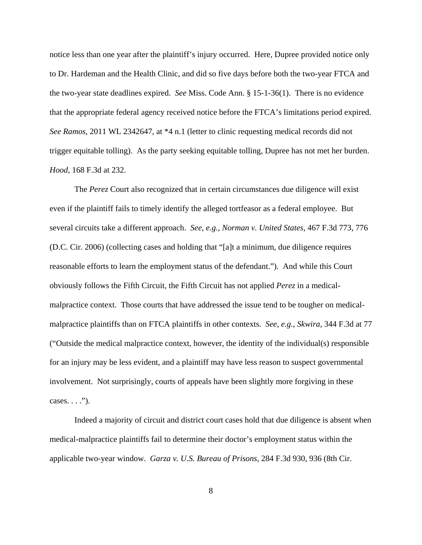notice less than one year after the plaintiff's injury occurred. Here, Dupree provided notice only to Dr. Hardeman and the Health Clinic, and did so five days before both the two-year FTCA and the two-year state deadlines expired. *See* Miss. Code Ann. § 15-1-36(1). There is no evidence that the appropriate federal agency received notice before the FTCA's limitations period expired. *See Ramos*, 2011 WL 2342647, at \*4 n.1 (letter to clinic requesting medical records did not trigger equitable tolling). As the party seeking equitable tolling, Dupree has not met her burden. *Hood*, 168 F.3d at 232.

 The *Perez* Court also recognized that in certain circumstances due diligence will exist even if the plaintiff fails to timely identify the alleged tortfeasor as a federal employee. But several circuits take a different approach. *See, e.g.*, *Norman v. United States*, 467 F.3d 773, 776 (D.C. Cir. 2006) (collecting cases and holding that "[a]t a minimum, due diligence requires reasonable efforts to learn the employment status of the defendant."). And while this Court obviously follows the Fifth Circuit, the Fifth Circuit has not applied *Perez* in a medicalmalpractice context. Those courts that have addressed the issue tend to be tougher on medicalmalpractice plaintiffs than on FTCA plaintiffs in other contexts. *See*, *e.g.*, *Skwira*, 344 F.3d at 77 ("Outside the medical malpractice context, however, the identity of the individual(s) responsible for an injury may be less evident, and a plaintiff may have less reason to suspect governmental involvement. Not surprisingly, courts of appeals have been slightly more forgiving in these  $cases. \ldots$ ").

Indeed a majority of circuit and district court cases hold that due diligence is absent when medical-malpractice plaintiffs fail to determine their doctor's employment status within the applicable two-year window. *Garza v. U.S. Bureau of Prisons*, 284 F.3d 930, 936 (8th Cir.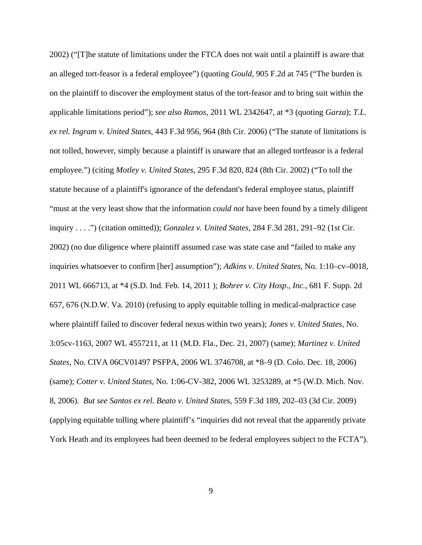2002) ("[T]he statute of limitations under the FTCA does not wait until a plaintiff is aware that an alleged tort-feasor is a federal employee") (quoting *Gould*, 905 F.2d at 745 ("The burden is on the plaintiff to discover the employment status of the tort-feasor and to bring suit within the applicable limitations period"); *see also Ramos*, 2011 WL 2342647, at \*3 (quoting *Garza*); *T.L. ex rel. Ingram v. United States*, 443 F.3d 956, 964 (8th Cir. 2006) ("The statute of limitations is not tolled, however, simply because a plaintiff is unaware that an alleged tortfeasor is a federal employee.") (citing *Motley v. United States*, 295 F.3d 820, 824 (8th Cir. 2002) ("To toll the statute because of a plaintiff's ignorance of the defendant's federal employee status, plaintiff "must at the very least show that the information *could not* have been found by a timely diligent inquiry . . . .") (citation omitted)); *Gonzalez v. United States*, 284 F.3d 281, 291–92 (1st Cir. 2002) (no due diligence where plaintiff assumed case was state case and "failed to make any inquiries whatsoever to confirm [her] assumption"); *Adkins v. United States*, No. 1:10–cv–0018, 2011 WL 666713, at \*4 (S.D. Ind. Feb. 14, 2011 ); *Bohrer v. City Hosp., Inc.*, 681 F. Supp. 2d 657, 676 (N.D.W. Va. 2010) (refusing to apply equitable tolling in medical-malpractice case where plaintiff failed to discover federal nexus within two years); *Jones v. United States*, No. 3:05cv-1163, 2007 WL 4557211, at 11 (M.D. Fla., Dec. 21, 2007) (same); *Martinez v. United States*, No. CIVA 06CV01497 PSFPA, 2006 WL 3746708, at \*8–9 (D. Colo. Dec. 18, 2006) (same); *Cotter v. United States*, No. 1:06-CV-382, 2006 WL 3253289, at \*5 (W.D. Mich. Nov. 8, 2006). *But see Santos ex rel. Beato v. United States*, 559 F.3d 189, 202–03 (3d Cir. 2009) (applying equitable tolling where plaintiff's "inquiries did not reveal that the apparently private York Heath and its employees had been deemed to be federal employees subject to the FCTA").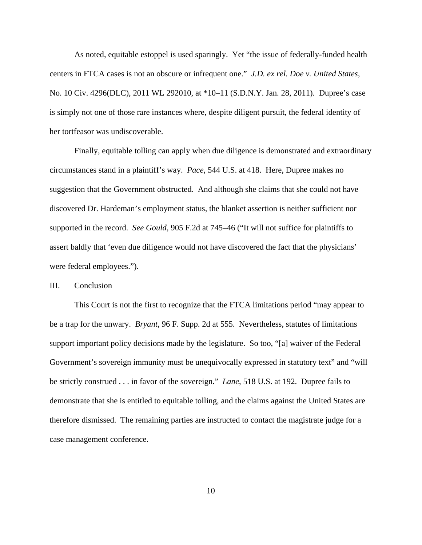As noted, equitable estoppel is used sparingly. Yet "the issue of federally-funded health centers in FTCA cases is not an obscure or infrequent one." *J.D. ex rel. Doe v. United States*, No. 10 Civ. 4296(DLC), 2011 WL 292010, at \*10–11 (S.D.N.Y. Jan. 28, 2011). Dupree's case is simply not one of those rare instances where, despite diligent pursuit, the federal identity of her tortfeasor was undiscoverable.

Finally, equitable tolling can apply when due diligence is demonstrated and extraordinary circumstances stand in a plaintiff's way. *Pace*, 544 U.S. at 418. Here, Dupree makes no suggestion that the Government obstructed. And although she claims that she could not have discovered Dr. Hardeman's employment status, the blanket assertion is neither sufficient nor supported in the record. *See Gould*, 905 F.2d at 745–46 ("It will not suffice for plaintiffs to assert baldly that 'even due diligence would not have discovered the fact that the physicians' were federal employees.").

#### III. Conclusion

This Court is not the first to recognize that the FTCA limitations period "may appear to be a trap for the unwary. *Bryant*, 96 F. Supp. 2d at 555. Nevertheless, statutes of limitations support important policy decisions made by the legislature. So too, "[a] waiver of the Federal Government's sovereign immunity must be unequivocally expressed in statutory text" and "will be strictly construed . . . in favor of the sovereign." *Lane*, 518 U.S. at 192. Dupree fails to demonstrate that she is entitled to equitable tolling, and the claims against the United States are therefore dismissed. The remaining parties are instructed to contact the magistrate judge for a case management conference.